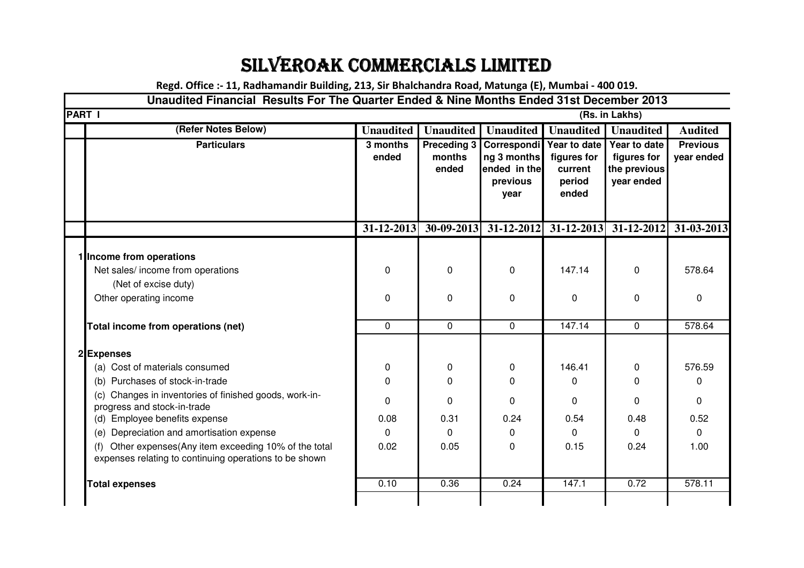## SILVEROAK COMMERCIALS LIMITED

**Regd. Office :- 11, Radhamandir Building, 213, Sir Bhalchandra Road, Matunga (E), Mumbai - 400 019.**

## **Unaudited Financial Results For The Quarter Ended & Nine Months Ended 31st December 2013**

| <b>PART I</b><br>(Rs. in Lakhs)                                                                                     |                   |                                       |                                                                |                                                           |                                                           |                               |
|---------------------------------------------------------------------------------------------------------------------|-------------------|---------------------------------------|----------------------------------------------------------------|-----------------------------------------------------------|-----------------------------------------------------------|-------------------------------|
| (Refer Notes Below)                                                                                                 | <b>Unaudited</b>  | <b>Unaudited</b>                      | <b>Unaudited</b>                                               | <b>Unaudited</b>                                          | <b>Unaudited</b>                                          | <b>Audited</b>                |
| <b>Particulars</b>                                                                                                  | 3 months<br>ended | <b>Preceding 3</b><br>months<br>ended | Correspondi<br>ng 3 months<br>ended in the<br>previous<br>year | Year to date<br>figures for<br>current<br>period<br>ended | Year to date<br>figures for<br>the previous<br>year ended | <b>Previous</b><br>year ended |
|                                                                                                                     | 31-12-2013        | 30-09-2013                            | $31 - 12 - 2012$                                               |                                                           | $31-12-2013$ 31-12-2012 31-03-2013                        |                               |
| 1 Income from operations                                                                                            |                   |                                       |                                                                |                                                           |                                                           |                               |
| Net sales/ income from operations                                                                                   | 0                 | 0                                     | 0                                                              | 147.14                                                    | 0                                                         | 578.64                        |
| (Net of excise duty)                                                                                                |                   |                                       |                                                                |                                                           |                                                           |                               |
| Other operating income                                                                                              | 0                 | 0                                     | 0                                                              | 0                                                         | 0                                                         | 0                             |
| Total income from operations (net)                                                                                  | $\mathbf 0$       | 0                                     | $\overline{0}$                                                 | 147.14                                                    | $\mathbf 0$                                               | 578.64                        |
| 2Expenses                                                                                                           |                   |                                       |                                                                |                                                           |                                                           |                               |
| (a) Cost of materials consumed                                                                                      | 0                 | 0                                     | 0                                                              | 146.41                                                    | 0                                                         | 576.59                        |
| Purchases of stock-in-trade<br>(b)                                                                                  | $\Omega$          | $\Omega$                              | 0                                                              | 0                                                         | 0                                                         | 0                             |
| Changes in inventories of finished goods, work-in-<br>(c)<br>progress and stock-in-trade                            | 0                 | $\Omega$                              | 0                                                              | 0                                                         | 0                                                         | $\mathbf 0$                   |
| Employee benefits expense<br>(d)                                                                                    | 0.08              | 0.31                                  | 0.24                                                           | 0.54                                                      | 0.48                                                      | 0.52                          |
| Depreciation and amortisation expense<br>(e)                                                                        | $\Omega$          | $\Omega$                              | 0                                                              | $\mathbf 0$                                               | $\Omega$                                                  | $\mathbf 0$                   |
| Other expenses(Any item exceeding 10% of the total<br>(f)<br>expenses relating to continuing operations to be shown | 0.02              | 0.05                                  | 0                                                              | 0.15                                                      | 0.24                                                      | 1.00                          |
| <b>Total expenses</b>                                                                                               | 0.10              | 0.36                                  | 0.24                                                           | 147.1                                                     | 0.72                                                      | 578.11                        |
|                                                                                                                     |                   |                                       |                                                                |                                                           |                                                           |                               |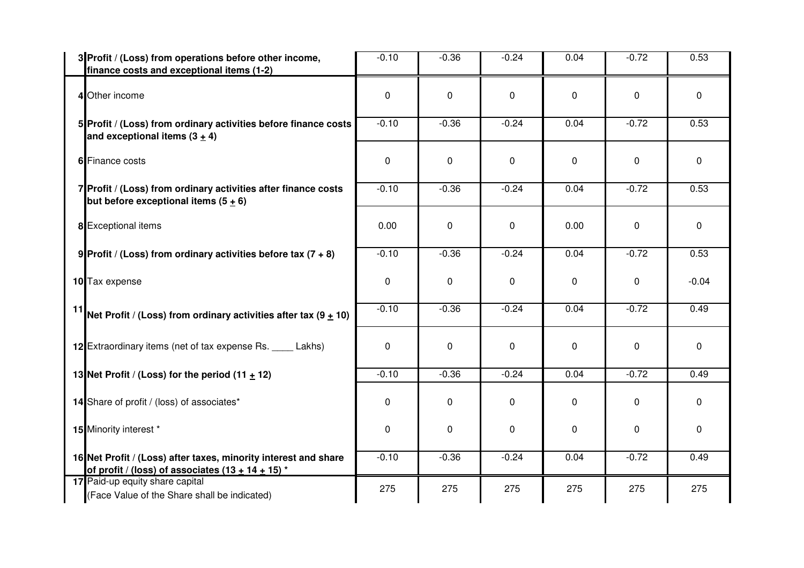| 3 Profit / (Loss) from operations before other income,<br>finance costs and exceptional items (1-2)                    | $-0.10$     | $-0.36$     | $-0.24$ | 0.04 | $-0.72$      | 0.53        |
|------------------------------------------------------------------------------------------------------------------------|-------------|-------------|---------|------|--------------|-------------|
| 4 Other income                                                                                                         | 0           | 0           | 0       | 0    | 0            | $\mathbf 0$ |
| 5 Profit / (Loss) from ordinary activities before finance costs<br>and exceptional items $(3 + 4)$                     | $-0.10$     | $-0.36$     | $-0.24$ | 0.04 | $-0.72$      | 0.53        |
| 6 Finance costs                                                                                                        | 0           | $\mathbf 0$ | 0       | 0    | 0            | $\mathbf 0$ |
| 7 Profit / (Loss) from ordinary activities after finance costs<br>but before exceptional items $(5 + 6)$               | $-0.10$     | $-0.36$     | $-0.24$ | 0.04 | $-0.72$      | 0.53        |
| 8 Exceptional items                                                                                                    | 0.00        | $\mathbf 0$ | 0       | 0.00 | 0            | $\mathbf 0$ |
| 9 Profit / (Loss) from ordinary activities before tax $(7 + 8)$                                                        | $-0.10$     | $-0.36$     | $-0.24$ | 0.04 | $-0.72$      | 0.53        |
| 10 Tax expense                                                                                                         | 0           | 0           | 0       | 0    | 0            | $-0.04$     |
| <sup>11</sup> Net Profit / (Loss) from ordinary activities after tax (9 $\pm$ 10)                                      | $-0.10$     | $-0.36$     | $-0.24$ | 0.04 | $-0.72$      | 0.49        |
| 12 Extraordinary items (net of tax expense Rs. _____ Lakhs)                                                            | $\mathbf 0$ | $\mathbf 0$ | 0       | 0    | $\mathbf 0$  | $\mathbf 0$ |
| 13 Net Profit / (Loss) for the period $(11 + 12)$                                                                      | $-0.10$     | $-0.36$     | $-0.24$ | 0.04 | $-0.72$      | 0.49        |
| 14 Share of profit / (loss) of associates*                                                                             | 0           | 0           | 0       | 0    | $\mathbf{0}$ | 0           |
| 15 Minority interest *                                                                                                 | 0           | $\mathbf 0$ | 0       | 0    | $\mathbf 0$  | $\mathbf 0$ |
| 16 Net Profit / (Loss) after taxes, minority interest and share<br>of profit / (loss) of associates $(13 + 14 + 15)^*$ | $-0.10$     | $-0.36$     | $-0.24$ | 0.04 | $-0.72$      | 0.49        |
| 17 Paid-up equity share capital<br>(Face Value of the Share shall be indicated)                                        | 275         | 275         | 275     | 275  | 275          | 275         |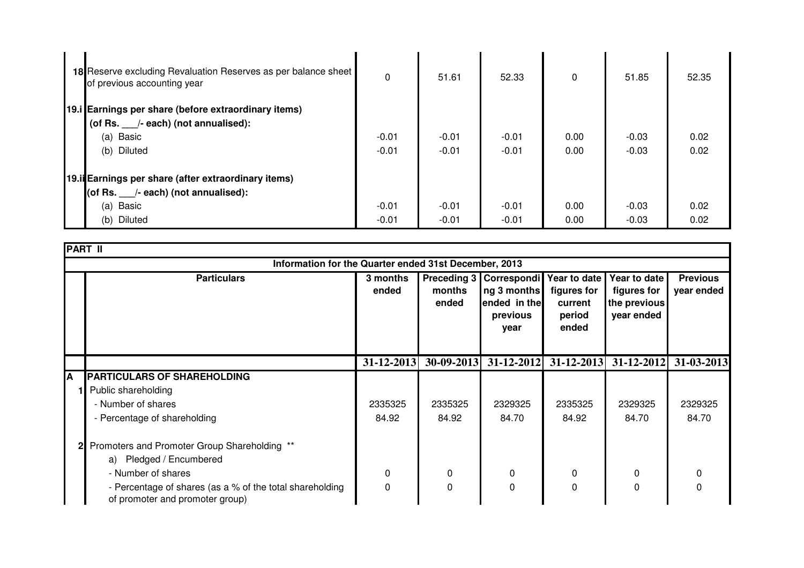| 18 Reserve excluding Revaluation Reserves as per balance sheet<br>of previous accounting year | $\mathbf{0}$ | 51.61   | 52.33   | $\Omega$ | 51.85   | 52.35 |  |
|-----------------------------------------------------------------------------------------------|--------------|---------|---------|----------|---------|-------|--|
| 19.i Earnings per share (before extraordinary items)                                          |              |         |         |          |         |       |  |
| (of Rs. 1. - /- each) (not annualised):                                                       |              |         |         |          |         |       |  |
| (a) Basic                                                                                     | $-0.01$      | $-0.01$ | $-0.01$ | 0.00     | $-0.03$ | 0.02  |  |
| (b) Diluted                                                                                   | $-0.01$      | $-0.01$ | $-0.01$ | 0.00     | $-0.03$ | 0.02  |  |
| 19.ii Earnings per share (after extraordinary items)<br>(of Rs. /- each) (not annualised):    |              |         |         |          |         |       |  |
| (a) Basic                                                                                     | $-0.01$      | $-0.01$ | $-0.01$ | 0.00     | $-0.03$ | 0.02  |  |
| (b) Diluted                                                                                   | $-0.01$      | $-0.01$ | $-0.01$ | 0.00     | $-0.03$ | 0.02  |  |

|   | <b>PART II</b>                                                                              |                   |                 |                                                                                |                                                           |                                                           |                               |  |
|---|---------------------------------------------------------------------------------------------|-------------------|-----------------|--------------------------------------------------------------------------------|-----------------------------------------------------------|-----------------------------------------------------------|-------------------------------|--|
|   | Information for the Quarter ended 31st December, 2013                                       |                   |                 |                                                                                |                                                           |                                                           |                               |  |
|   | <b>Particulars</b>                                                                          | 3 months<br>ended | months<br>ended | Preceding 3   Correspondi  <br>ng 3 months<br>ended in the<br>previous<br>year | Year to date<br>figures for<br>current<br>period<br>ended | Year to date<br>figures for<br>the previous<br>year ended | <b>Previous</b><br>year ended |  |
|   |                                                                                             | $31 - 12 - 2013$  | $30-09-2013$    |                                                                                | $31-12-2012$ $31-12-2013$                                 |                                                           | 31-12-2012 31-03-2013         |  |
| A | <b>PARTICULARS OF SHAREHOLDING</b>                                                          |                   |                 |                                                                                |                                                           |                                                           |                               |  |
|   | Public shareholding                                                                         |                   |                 |                                                                                |                                                           |                                                           |                               |  |
|   | - Number of shares                                                                          | 2335325           | 2335325         | 2329325                                                                        | 2335325                                                   | 2329325                                                   | 2329325                       |  |
|   | - Percentage of shareholding                                                                | 84.92             | 84.92           | 84.70                                                                          | 84.92                                                     | 84.70                                                     | 84.70                         |  |
|   | Promoters and Promoter Group Shareholding **                                                |                   |                 |                                                                                |                                                           |                                                           |                               |  |
|   | a) Pledged / Encumbered                                                                     |                   |                 |                                                                                |                                                           |                                                           |                               |  |
|   | - Number of shares                                                                          | 0                 | 0               | 0                                                                              | 0                                                         | 0                                                         | 0                             |  |
|   | - Percentage of shares (as a % of the total shareholding<br>of promoter and promoter group) | 0                 | 0               | 0                                                                              | 0                                                         | 0                                                         | 0                             |  |